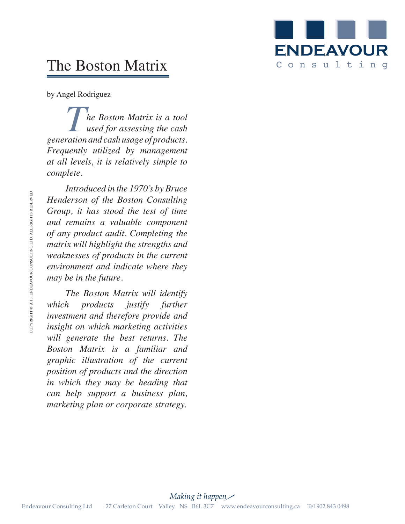

# The Boston Matrix

by Angel Rodriguez

**The Boston Matrix is a tool**<br>used for assessing the cash<br>ration and cash usage of products *used for assessing the cash generation and cash usage of products. Frequently utilized by management at all levels, it is relatively simple to complete.*

*Introduced in the 1970's by Bruce Henderson of the Boston Consulting Group, it has stood the test of time and remains a valuable component of any product audit. Completing the matrix will highlight the strengths and weaknesses of products in the current environment and indicate where they may be in the future.*

*The Boston Matrix will identify which products justify further investment and therefore provide and insight on which marketing activities will generate the best returns. The Boston Matrix is a familiar and graphic illustration of the current position of products and the direction in which they may be heading that can help support a business plan, marketing plan or corporate strategy.* Enderson of the Boston Consulting<br>
and remains a valuable component<br>
of any product audit. Completing the<br>
order audits will highlight the strengths and<br>
weaknesses of products in the current<br>
environment and indicate whe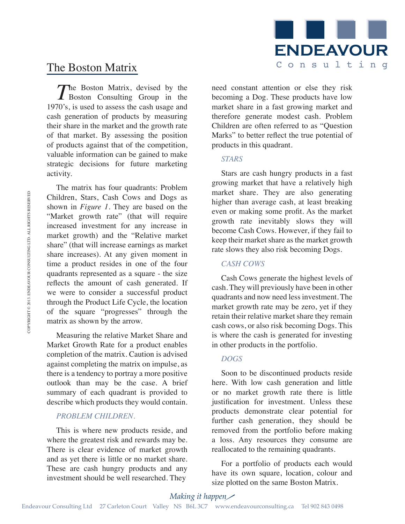

## The Boston Matrix

The Boston Matrix, devised by the Boston Consulting Group in the 1970's, is used to assess the cash usage and cash generation of products by measuring their share in the market and the growth rate of that market. By assessing the position of products against that of the competition, valuable information can be gained to make strategic decisions for future marketing activity.

The matrix has four quadrants: Problem Children, Stars, Cash Cows and Dogs as shown in *Figure 1*. They are based on the "Market growth rate" (that will require increased investment for any increase in market growth) and the "Relative market share" (that will increase earnings as market share increases). At any given moment in time a product resides in one of the four quadrants represented as a square - the size reflects the amount of cash generated. If we were to consider a successful product through the Product Life Cycle, the location of the square "progresses" through the matrix as shown by the arrow. Children, Stars. Cash Cows and Dogs as<br>
shown in Figure based on the lighter than average cash, at least break<br>
"Market growth rate" (that will require even or making some profit. As the must<br>suggest investment for any in

Measuring the relative Market Share and Market Growth Rate for a product enables completion of the matrix. Caution is advised against completing the matrix on impulse, as there is a tendency to portray a more positive outlook than may be the case. A brief summary of each quadrant is provided to describe which products they would contain.

### *PROBLEM CHILDREN.*

This is where new products reside, and where the greatest risk and rewards may be. There is clear evidence of market growth and as yet there is little or no market share. These are cash hungry products and any investment should be well researched. They

need constant attention or else they risk becoming a Dog. These products have low market share in a fast growing market and therefore generate modest cash. Problem Children are often referred to as "Question Marks" to better reflect the true potential of products in this quadrant.

#### *STARS*

Stars are cash hungry products in a fast growing market that have a relatively high market share. They are also generating higher than average cash, at least breaking even or making some profit. As the market growth rate inevitably slows they will become Cash Cows. However, if they fail to keep their market share as the market growth rate slows they also risk becoming Dogs.

#### *CASH COWS*

Cash Cows generate the highest levels of cash. They will previously have been in other quadrants and now need less investment. The market growth rate may be zero, yet if they retain their relative market share they remain cash cows, or also risk becoming Dogs. This is where the cash is generated for investing in other products in the portfolio.

#### *DOGS*

Soon to be discontinued products reside here. With low cash generation and little or no market growth rate there is little justification for investment. Unless these products demonstrate clear potential for further cash generation, they should be removed from the portfolio before making a loss. Any resources they consume are reallocated to the remaining quadrants.

For a portfolio of products each would have its own square, location, colour and size plotted on the same Boston Matrix.